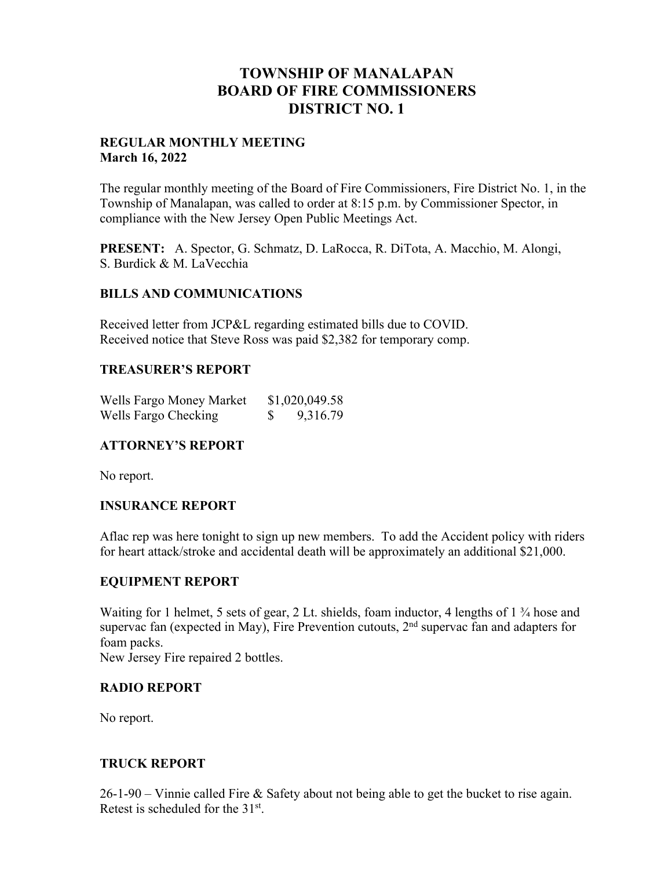# **TOWNSHIP OF MANALAPAN BOARD OF FIRE COMMISSIONERS DISTRICT NO. 1**

#### **REGULAR MONTHLY MEETING March 16, 2022**

The regular monthly meeting of the Board of Fire Commissioners, Fire District No. 1, in the Township of Manalapan, was called to order at 8:15 p.m. by Commissioner Spector, in compliance with the New Jersey Open Public Meetings Act.

**PRESENT:** A. Spector, G. Schmatz, D. LaRocca, R. DiTota, A. Macchio, M. Alongi, S. Burdick & M. LaVecchia

### **BILLS AND COMMUNICATIONS**

Received letter from JCP&L regarding estimated bills due to COVID. Received notice that Steve Ross was paid \$2,382 for temporary comp.

### **TREASURER'S REPORT**

| Wells Fargo Money Market |   | \$1,020,049.58 |
|--------------------------|---|----------------|
| Wells Fargo Checking     | Ÿ | 9,316.79       |

### **ATTORNEY'S REPORT**

No report.

### **INSURANCE REPORT**

Aflac rep was here tonight to sign up new members. To add the Accident policy with riders for heart attack/stroke and accidental death will be approximately an additional \$21,000.

### **EQUIPMENT REPORT**

Waiting for 1 helmet, 5 sets of gear, 2 Lt. shields, foam inductor, 4 lengths of  $1\frac{3}{4}$  hose and supervac fan (expected in May), Fire Prevention cutouts, 2<sup>nd</sup> supervac fan and adapters for foam packs.

New Jersey Fire repaired 2 bottles.

### **RADIO REPORT**

No report.

### **TRUCK REPORT**

26-1-90 – Vinnie called Fire & Safety about not being able to get the bucket to rise again. Retest is scheduled for the 31st.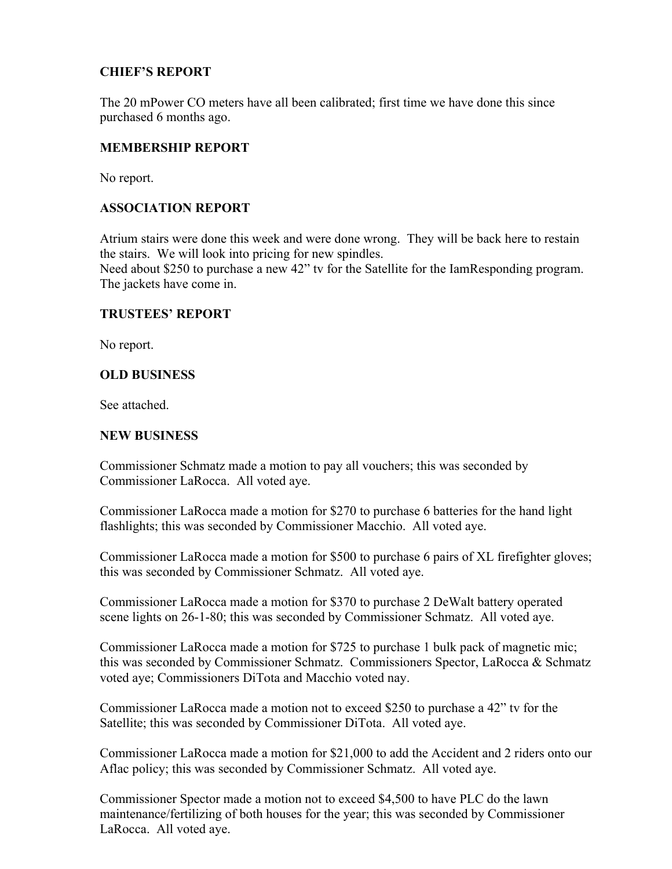### **CHIEF'S REPORT**

The 20 mPower CO meters have all been calibrated; first time we have done this since purchased 6 months ago.

### **MEMBERSHIP REPORT**

No report.

### **ASSOCIATION REPORT**

Atrium stairs were done this week and were done wrong. They will be back here to restain the stairs. We will look into pricing for new spindles.

Need about \$250 to purchase a new 42" tv for the Satellite for the IamResponding program. The jackets have come in.

### **TRUSTEES' REPORT**

No report.

### **OLD BUSINESS**

See attached.

#### **NEW BUSINESS**

Commissioner Schmatz made a motion to pay all vouchers; this was seconded by Commissioner LaRocca. All voted aye.

Commissioner LaRocca made a motion for \$270 to purchase 6 batteries for the hand light flashlights; this was seconded by Commissioner Macchio. All voted aye.

Commissioner LaRocca made a motion for \$500 to purchase 6 pairs of XL firefighter gloves; this was seconded by Commissioner Schmatz. All voted aye.

Commissioner LaRocca made a motion for \$370 to purchase 2 DeWalt battery operated scene lights on 26-1-80; this was seconded by Commissioner Schmatz. All voted aye.

Commissioner LaRocca made a motion for \$725 to purchase 1 bulk pack of magnetic mic; this was seconded by Commissioner Schmatz. Commissioners Spector, LaRocca & Schmatz voted aye; Commissioners DiTota and Macchio voted nay.

Commissioner LaRocca made a motion not to exceed \$250 to purchase a 42" tv for the Satellite; this was seconded by Commissioner DiTota. All voted aye.

Commissioner LaRocca made a motion for \$21,000 to add the Accident and 2 riders onto our Aflac policy; this was seconded by Commissioner Schmatz. All voted aye.

Commissioner Spector made a motion not to exceed \$4,500 to have PLC do the lawn maintenance/fertilizing of both houses for the year; this was seconded by Commissioner LaRocca. All voted aye.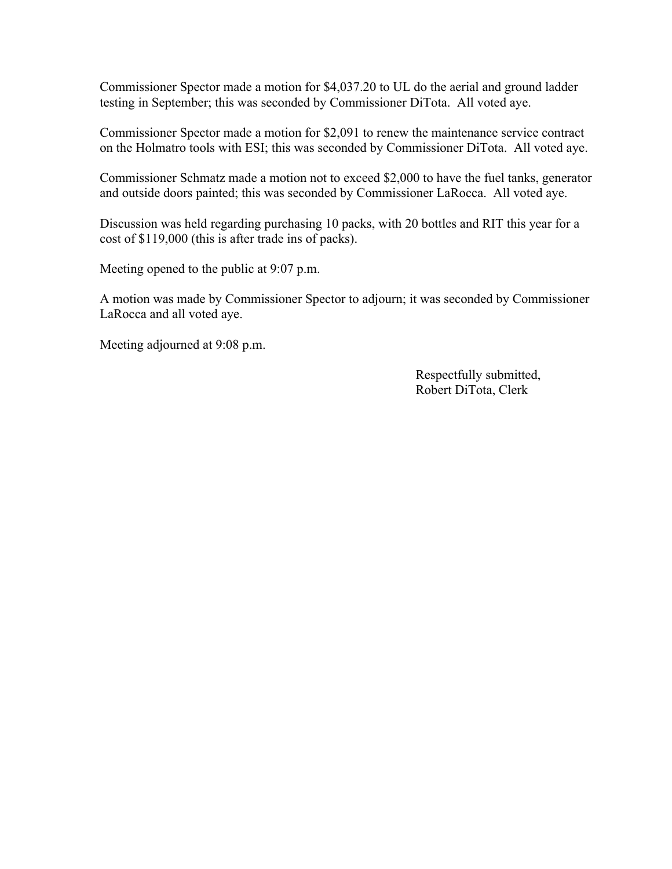Commissioner Spector made a motion for \$4,037.20 to UL do the aerial and ground ladder testing in September; this was seconded by Commissioner DiTota. All voted aye.

Commissioner Spector made a motion for \$2,091 to renew the maintenance service contract on the Holmatro tools with ESI; this was seconded by Commissioner DiTota. All voted aye.

Commissioner Schmatz made a motion not to exceed \$2,000 to have the fuel tanks, generator and outside doors painted; this was seconded by Commissioner LaRocca. All voted aye.

Discussion was held regarding purchasing 10 packs, with 20 bottles and RIT this year for a cost of \$119,000 (this is after trade ins of packs).

Meeting opened to the public at 9:07 p.m.

A motion was made by Commissioner Spector to adjourn; it was seconded by Commissioner LaRocca and all voted aye.

Meeting adjourned at 9:08 p.m.

 Respectfully submitted, Robert DiTota, Clerk